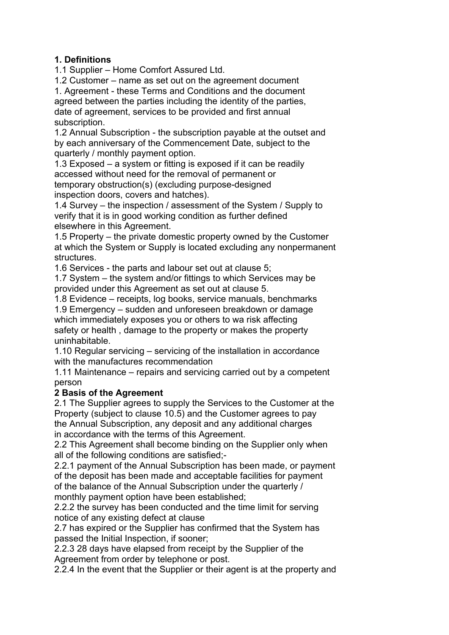# **1. Definitions**

1.1 Supplier – Home Comfort Assured Ltd.

1.2 Customer – name as set out on the agreement document

1. Agreement - these Terms and Conditions and the document agreed between the parties including the identity of the parties, date of agreement, services to be provided and first annual subscription.

1.2 Annual Subscription - the subscription payable at the outset and by each anniversary of the Commencement Date, subject to the quarterly / monthly payment option.

1.3 Exposed – a system or fitting is exposed if it can be readily accessed without need for the removal of permanent or temporary obstruction(s) (excluding purpose-designed inspection doors, covers and hatches).

1.4 Survey – the inspection / assessment of the System / Supply to verify that it is in good working condition as further defined elsewhere in this Agreement.

1.5 Property – the private domestic property owned by the Customer at which the System or Supply is located excluding any nonpermanent structures.

1.6 Services - the parts and labour set out at clause 5;

1.7 System – the system and/or fittings to which Services may be provided under this Agreement as set out at clause 5.

1.8 Evidence – receipts, log books, service manuals, benchmarks

1.9 Emergency – sudden and unforeseen breakdown or damage which immediately exposes you or others to wa risk affecting safety or health , damage to the property or makes the property uninhabitable.

1.10 Regular servicing – servicing of the installation in accordance with the manufactures recommendation

1.11 Maintenance – repairs and servicing carried out by a competent person

# **2 Basis of the Agreement**

2.1 The Supplier agrees to supply the Services to the Customer at the Property (subject to clause 10.5) and the Customer agrees to pay the Annual Subscription, any deposit and any additional charges in accordance with the terms of this Agreement.

2.2 This Agreement shall become binding on the Supplier only when all of the following conditions are satisfied;-

2.2.1 payment of the Annual Subscription has been made, or payment of the deposit has been made and acceptable facilities for payment of the balance of the Annual Subscription under the quarterly / monthly payment option have been established;

2.2.2 the survey has been conducted and the time limit for serving notice of any existing defect at clause

2.7 has expired or the Supplier has confirmed that the System has passed the Initial Inspection, if sooner;

2.2.3 28 days have elapsed from receipt by the Supplier of the Agreement from order by telephone or post.

2.2.4 In the event that the Supplier or their agent is at the property and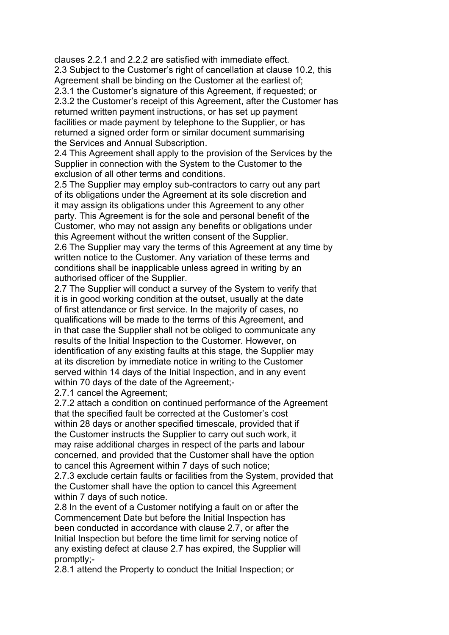clauses 2.2.1 and 2.2.2 are satisfied with immediate effect. 2.3 Subject to the Customer's right of cancellation at clause 10.2, this Agreement shall be binding on the Customer at the earliest of; 2.3.1 the Customer's signature of this Agreement, if requested; or 2.3.2 the Customer's receipt of this Agreement, after the Customer has returned written payment instructions, or has set up payment facilities or made payment by telephone to the Supplier, or has returned a signed order form or similar document summarising the Services and Annual Subscription.

2.4 This Agreement shall apply to the provision of the Services by the Supplier in connection with the System to the Customer to the exclusion of all other terms and conditions.

2.5 The Supplier may employ sub-contractors to carry out any part of its obligations under the Agreement at its sole discretion and it may assign its obligations under this Agreement to any other party. This Agreement is for the sole and personal benefit of the Customer, who may not assign any benefits or obligations under this Agreement without the written consent of the Supplier. 2.6 The Supplier may vary the terms of this Agreement at any time by written notice to the Customer. Any variation of these terms and conditions shall be inapplicable unless agreed in writing by an authorised officer of the Supplier.

2.7 The Supplier will conduct a survey of the System to verify that it is in good working condition at the outset, usually at the date of first attendance or first service. In the majority of cases, no qualifications will be made to the terms of this Agreement, and in that case the Supplier shall not be obliged to communicate any results of the Initial Inspection to the Customer. However, on identification of any existing faults at this stage, the Supplier may at its discretion by immediate notice in writing to the Customer served within 14 days of the Initial Inspection, and in any event within 70 days of the date of the Agreement;-

2.7.1 cancel the Agreement;

2.7.2 attach a condition on continued performance of the Agreement that the specified fault be corrected at the Customer's cost within 28 days or another specified timescale, provided that if the Customer instructs the Supplier to carry out such work, it may raise additional charges in respect of the parts and labour concerned, and provided that the Customer shall have the option to cancel this Agreement within 7 days of such notice;

2.7.3 exclude certain faults or facilities from the System, provided that the Customer shall have the option to cancel this Agreement within 7 days of such notice.

2.8 In the event of a Customer notifying a fault on or after the Commencement Date but before the Initial Inspection has been conducted in accordance with clause 2.7, or after the Initial Inspection but before the time limit for serving notice of any existing defect at clause 2.7 has expired, the Supplier will promptly;-

2.8.1 attend the Property to conduct the Initial Inspection; or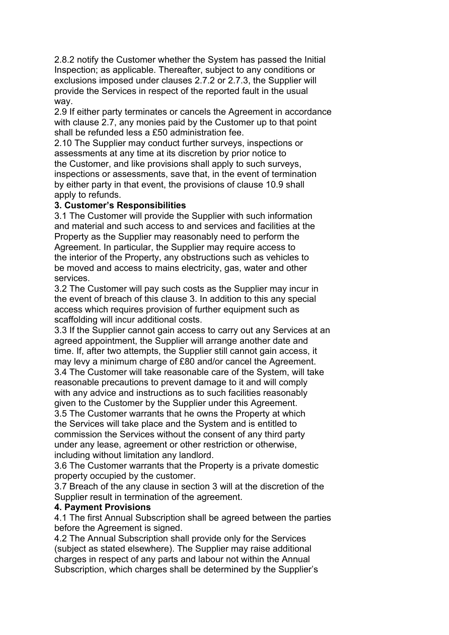2.8.2 notify the Customer whether the System has passed the Initial Inspection; as applicable. Thereafter, subject to any conditions or exclusions imposed under clauses 2.7.2 or 2.7.3, the Supplier will provide the Services in respect of the reported fault in the usual way.

2.9 If either party terminates or cancels the Agreement in accordance with clause 2.7, any monies paid by the Customer up to that point shall be refunded less a £50 administration fee.

2.10 The Supplier may conduct further surveys, inspections or assessments at any time at its discretion by prior notice to the Customer, and like provisions shall apply to such surveys, inspections or assessments, save that, in the event of termination by either party in that event, the provisions of clause 10.9 shall apply to refunds.

#### **3. Customer's Responsibilities**

3.1 The Customer will provide the Supplier with such information and material and such access to and services and facilities at the Property as the Supplier may reasonably need to perform the Agreement. In particular, the Supplier may require access to the interior of the Property, any obstructions such as vehicles to be moved and access to mains electricity, gas, water and other services.

3.2 The Customer will pay such costs as the Supplier may incur in the event of breach of this clause 3. In addition to this any special access which requires provision of further equipment such as scaffolding will incur additional costs.

3.3 If the Supplier cannot gain access to carry out any Services at an agreed appointment, the Supplier will arrange another date and time. If, after two attempts, the Supplier still cannot gain access, it may levy a minimum charge of £80 and/or cancel the Agreement. 3.4 The Customer will take reasonable care of the System, will take reasonable precautions to prevent damage to it and will comply with any advice and instructions as to such facilities reasonably given to the Customer by the Supplier under this Agreement.

3.5 The Customer warrants that he owns the Property at which the Services will take place and the System and is entitled to commission the Services without the consent of any third party under any lease, agreement or other restriction or otherwise, including without limitation any landlord.

3.6 The Customer warrants that the Property is a private domestic property occupied by the customer.

3.7 Breach of the any clause in section 3 will at the discretion of the Supplier result in termination of the agreement.

#### **4. Payment Provisions**

4.1 The first Annual Subscription shall be agreed between the parties before the Agreement is signed.

4.2 The Annual Subscription shall provide only for the Services (subject as stated elsewhere). The Supplier may raise additional charges in respect of any parts and labour not within the Annual Subscription, which charges shall be determined by the Supplier's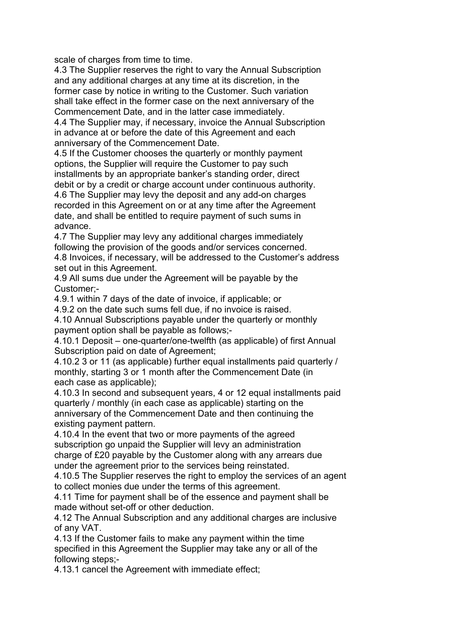scale of charges from time to time.

4.3 The Supplier reserves the right to vary the Annual Subscription and any additional charges at any time at its discretion, in the former case by notice in writing to the Customer. Such variation shall take effect in the former case on the next anniversary of the Commencement Date, and in the latter case immediately. 4.4 The Supplier may, if necessary, invoice the Annual Subscription in advance at or before the date of this Agreement and each anniversary of the Commencement Date.

4.5 If the Customer chooses the quarterly or monthly payment options, the Supplier will require the Customer to pay such installments by an appropriate banker's standing order, direct debit or by a credit or charge account under continuous authority. 4.6 The Supplier may levy the deposit and any add-on charges recorded in this Agreement on or at any time after the Agreement date, and shall be entitled to require payment of such sums in advance.

4.7 The Supplier may levy any additional charges immediately following the provision of the goods and/or services concerned. 4.8 Invoices, if necessary, will be addressed to the Customer's address set out in this Agreement.

4.9 All sums due under the Agreement will be payable by the Customer;-

4.9.1 within 7 days of the date of invoice, if applicable; or

4.9.2 on the date such sums fell due, if no invoice is raised.

4.10 Annual Subscriptions payable under the quarterly or monthly payment option shall be payable as follows;-

4.10.1 Deposit – one-quarter/one-twelfth (as applicable) of first Annual Subscription paid on date of Agreement;

4.10.2 3 or 11 (as applicable) further equal installments paid quarterly / monthly, starting 3 or 1 month after the Commencement Date (in each case as applicable);

4.10.3 In second and subsequent years, 4 or 12 equal installments paid quarterly / monthly (in each case as applicable) starting on the anniversary of the Commencement Date and then continuing the existing payment pattern.

4.10.4 In the event that two or more payments of the agreed subscription go unpaid the Supplier will levy an administration charge of £20 payable by the Customer along with any arrears due under the agreement prior to the services being reinstated.

4.10.5 The Supplier reserves the right to employ the services of an agent to collect monies due under the terms of this agreement.

4.11 Time for payment shall be of the essence and payment shall be made without set-off or other deduction.

4.12 The Annual Subscription and any additional charges are inclusive of any VAT.

4.13 If the Customer fails to make any payment within the time specified in this Agreement the Supplier may take any or all of the following steps;-

4.13.1 cancel the Agreement with immediate effect;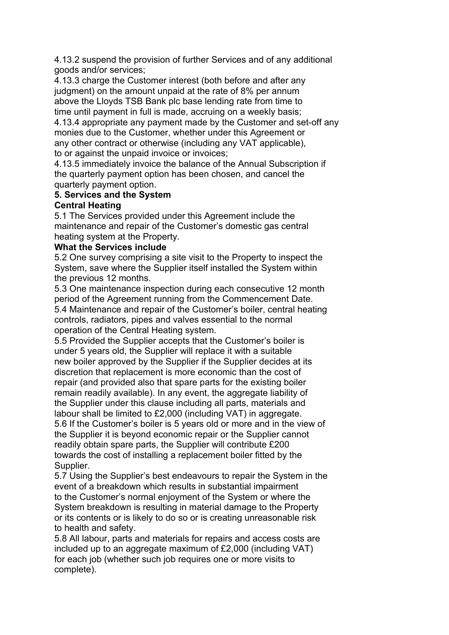4.13.2 suspend the provision of further Services and of any additional goods and/or services;

4.13.3 charge the Customer interest (both before and after any judgment) on the amount unpaid at the rate of 8% per annum above the Lloyds TSB Bank plc base lending rate from time to time until payment in full is made, accruing on a weekly basis; 4.13.4 appropriate any payment made by the Customer and set-off any

monies due to the Customer, whether under this Agreement or any other contract or otherwise (including any VAT applicable), to or against the unpaid invoice or invoices;

4.13.5 immediately invoice the balance of the Annual Subscription if the quarterly payment option has been chosen, and cancel the quarterly payment option.

# **5. Services and the System**

# **Central Heating**

5.1 The Services provided under this Agreement include the maintenance and repair of the Customer's domestic gas central heating system at the Property.

# **What the Services include**

5.2 One survey comprising a site visit to the Property to inspect the System, save where the Supplier itself installed the System within the previous 12 months.

5.3 One maintenance inspection during each consecutive 12 month period of the Agreement running from the Commencement Date. 5.4 Maintenance and repair of the Customer's boiler, central heating controls, radiators, pipes and valves essential to the normal operation of the Central Heating system.

5.5 Provided the Supplier accepts that the Customer's boiler is under 5 years old, the Supplier will replace it with a suitable new boiler approved by the Supplier if the Supplier decides at its discretion that replacement is more economic than the cost of repair (and provided also that spare parts for the existing boiler remain readily available). In any event, the aggregate liability of the Supplier under this clause including all parts, materials and labour shall be limited to £2,000 (including VAT) in aggregate. 5.6 If the Customer's boiler is 5 years old or more and in the view of the Supplier it is beyond economic repair or the Supplier cannot readily obtain spare parts, the Supplier will contribute £200 towards the cost of installing a replacement boiler fitted by the Supplier.

5.7 Using the Supplier's best endeavours to repair the System in the event of a breakdown which results in substantial impairment to the Customer's normal enjoyment of the System or where the System breakdown is resulting in material damage to the Property or its contents or is likely to do so or is creating unreasonable risk to health and safety.

5.8 All labour, parts and materials for repairs and access costs are included up to an aggregate maximum of £2,000 (including VAT) for each job (whether such job requires one or more visits to complete).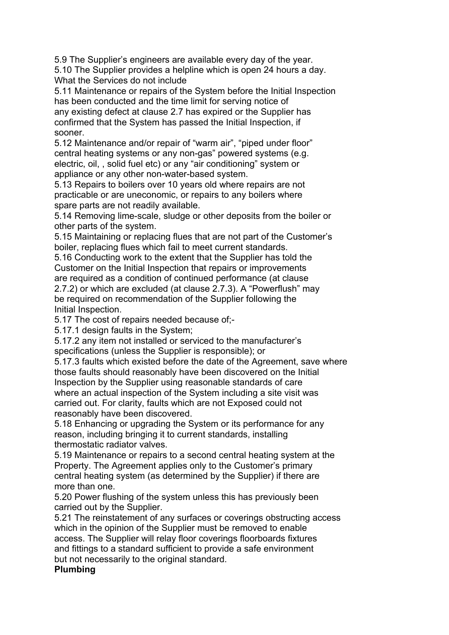5.9 The Supplier's engineers are available every day of the year. 5.10 The Supplier provides a helpline which is open 24 hours a day. What the Services do not include

5.11 Maintenance or repairs of the System before the Initial Inspection has been conducted and the time limit for serving notice of any existing defect at clause 2.7 has expired or the Supplier has confirmed that the System has passed the Initial Inspection, if sooner.

5.12 Maintenance and/or repair of "warm air", "piped under floor" central heating systems or any non-gas" powered systems (e.g. electric, oil, , solid fuel etc) or any "air conditioning" system or appliance or any other non-water-based system.

5.13 Repairs to boilers over 10 years old where repairs are not practicable or are uneconomic, or repairs to any boilers where spare parts are not readily available.

5.14 Removing lime-scale, sludge or other deposits from the boiler or other parts of the system.

5.15 Maintaining or replacing flues that are not part of the Customer's boiler, replacing flues which fail to meet current standards.

5.16 Conducting work to the extent that the Supplier has told the Customer on the Initial Inspection that repairs or improvements are required as a condition of continued performance (at clause

2.7.2) or which are excluded (at clause 2.7.3). A "Powerflush" may be required on recommendation of the Supplier following the Initial Inspection.

5.17 The cost of repairs needed because of;-

5.17.1 design faults in the System;

5.17.2 any item not installed or serviced to the manufacturer's specifications (unless the Supplier is responsible); or

5.17.3 faults which existed before the date of the Agreement, save where those faults should reasonably have been discovered on the Initial Inspection by the Supplier using reasonable standards of care where an actual inspection of the System including a site visit was carried out. For clarity, faults which are not Exposed could not reasonably have been discovered.

5.18 Enhancing or upgrading the System or its performance for any reason, including bringing it to current standards, installing thermostatic radiator valves.

5.19 Maintenance or repairs to a second central heating system at the Property. The Agreement applies only to the Customer's primary central heating system (as determined by the Supplier) if there are more than one.

5.20 Power flushing of the system unless this has previously been carried out by the Supplier.

5.21 The reinstatement of any surfaces or coverings obstructing access which in the opinion of the Supplier must be removed to enable access. The Supplier will relay floor coverings floorboards fixtures and fittings to a standard sufficient to provide a safe environment but not necessarily to the original standard.

# **Plumbing**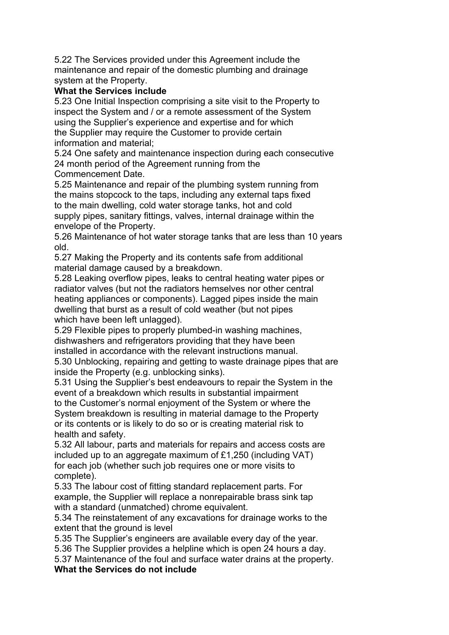5.22 The Services provided under this Agreement include the maintenance and repair of the domestic plumbing and drainage system at the Property.

#### **What the Services include**

5.23 One Initial Inspection comprising a site visit to the Property to inspect the System and / or a remote assessment of the System using the Supplier's experience and expertise and for which the Supplier may require the Customer to provide certain information and material;

5.24 One safety and maintenance inspection during each consecutive 24 month period of the Agreement running from the Commencement Date.

5.25 Maintenance and repair of the plumbing system running from the mains stopcock to the taps, including any external taps fixed to the main dwelling, cold water storage tanks, hot and cold supply pipes, sanitary fittings, valves, internal drainage within the envelope of the Property.

5.26 Maintenance of hot water storage tanks that are less than 10 years old.

5.27 Making the Property and its contents safe from additional material damage caused by a breakdown.

5.28 Leaking overflow pipes, leaks to central heating water pipes or radiator valves (but not the radiators hemselves nor other central heating appliances or components). Lagged pipes inside the main dwelling that burst as a result of cold weather (but not pipes which have been left unlagged).

5.29 Flexible pipes to properly plumbed-in washing machines, dishwashers and refrigerators providing that they have been installed in accordance with the relevant instructions manual. 5.30 Unblocking, repairing and getting to waste drainage pipes that are

inside the Property (e.g. unblocking sinks).

5.31 Using the Supplier's best endeavours to repair the System in the event of a breakdown which results in substantial impairment to the Customer's normal enjoyment of the System or where the System breakdown is resulting in material damage to the Property or its contents or is likely to do so or is creating material risk to health and safety.

5.32 All labour, parts and materials for repairs and access costs are included up to an aggregate maximum of £1,250 (including VAT) for each job (whether such job requires one or more visits to complete).

5.33 The labour cost of fitting standard replacement parts. For example, the Supplier will replace a nonrepairable brass sink tap with a standard (unmatched) chrome equivalent.

5.34 The reinstatement of any excavations for drainage works to the extent that the ground is level

5.35 The Supplier's engineers are available every day of the year.

5.36 The Supplier provides a helpline which is open 24 hours a day.

5.37 Maintenance of the foul and surface water drains at the property. **What the Services do not include**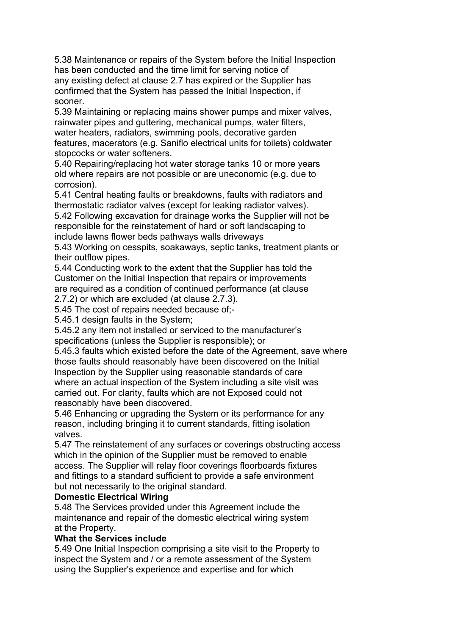5.38 Maintenance or repairs of the System before the Initial Inspection has been conducted and the time limit for serving notice of any existing defect at clause 2.7 has expired or the Supplier has confirmed that the System has passed the Initial Inspection, if sooner.

5.39 Maintaining or replacing mains shower pumps and mixer valves, rainwater pipes and guttering, mechanical pumps, water filters, water heaters, radiators, swimming pools, decorative garden features, macerators (e.g. Saniflo electrical units for toilets) coldwater stopcocks or water softeners.

5.40 Repairing/replacing hot water storage tanks 10 or more years old where repairs are not possible or are uneconomic (e.g. due to corrosion).

5.41 Central heating faults or breakdowns, faults with radiators and thermostatic radiator valves (except for leaking radiator valves).

5.42 Following excavation for drainage works the Supplier will not be responsible for the reinstatement of hard or soft landscaping to include lawns flower beds pathways walls driveways

5.43 Working on cesspits, soakaways, septic tanks, treatment plants or their outflow pipes.

5.44 Conducting work to the extent that the Supplier has told the Customer on the Initial Inspection that repairs or improvements are required as a condition of continued performance (at clause

2.7.2) or which are excluded (at clause 2.7.3).

5.45 The cost of repairs needed because of;-

5.45.1 design faults in the System;

5.45.2 any item not installed or serviced to the manufacturer's specifications (unless the Supplier is responsible); or

5.45.3 faults which existed before the date of the Agreement, save where those faults should reasonably have been discovered on the Initial Inspection by the Supplier using reasonable standards of care where an actual inspection of the System including a site visit was carried out. For clarity, faults which are not Exposed could not reasonably have been discovered.

5.46 Enhancing or upgrading the System or its performance for any reason, including bringing it to current standards, fitting isolation valves.

5.47 The reinstatement of any surfaces or coverings obstructing access which in the opinion of the Supplier must be removed to enable access. The Supplier will relay floor coverings floorboards fixtures and fittings to a standard sufficient to provide a safe environment but not necessarily to the original standard.

# **Domestic Electrical Wiring**

5.48 The Services provided under this Agreement include the maintenance and repair of the domestic electrical wiring system at the Property.

# **What the Services include**

5.49 One Initial Inspection comprising a site visit to the Property to inspect the System and / or a remote assessment of the System using the Supplier's experience and expertise and for which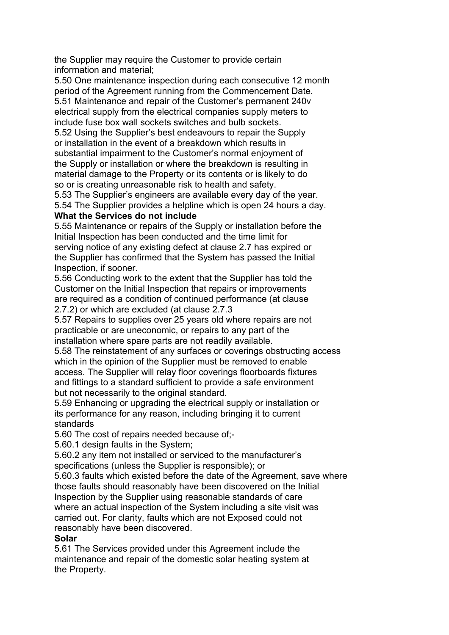the Supplier may require the Customer to provide certain information and material;

5.50 One maintenance inspection during each consecutive 12 month period of the Agreement running from the Commencement Date. 5.51 Maintenance and repair of the Customer's permanent 240v electrical supply from the electrical companies supply meters to include fuse box wall sockets switches and bulb sockets.

5.52 Using the Supplier's best endeavours to repair the Supply or installation in the event of a breakdown which results in substantial impairment to the Customer's normal enjoyment of the Supply or installation or where the breakdown is resulting in material damage to the Property or its contents or is likely to do so or is creating unreasonable risk to health and safety.

5.53 The Supplier's engineers are available every day of the year. 5.54 The Supplier provides a helpline which is open 24 hours a day.

#### **What the Services do not include**

5.55 Maintenance or repairs of the Supply or installation before the Initial Inspection has been conducted and the time limit for serving notice of any existing defect at clause 2.7 has expired or the Supplier has confirmed that the System has passed the Initial Inspection, if sooner.

5.56 Conducting work to the extent that the Supplier has told the Customer on the Initial Inspection that repairs or improvements are required as a condition of continued performance (at clause 2.7.2) or which are excluded (at clause 2.7.3

5.57 Repairs to supplies over 25 years old where repairs are not practicable or are uneconomic, or repairs to any part of the installation where spare parts are not readily available.

5.58 The reinstatement of any surfaces or coverings obstructing access which in the opinion of the Supplier must be removed to enable access. The Supplier will relay floor coverings floorboards fixtures and fittings to a standard sufficient to provide a safe environment but not necessarily to the original standard.

5.59 Enhancing or upgrading the electrical supply or installation or its performance for any reason, including bringing it to current standards

5.60 The cost of repairs needed because of;-

5.60.1 design faults in the System;

5.60.2 any item not installed or serviced to the manufacturer's specifications (unless the Supplier is responsible); or

5.60.3 faults which existed before the date of the Agreement, save where those faults should reasonably have been discovered on the Initial Inspection by the Supplier using reasonable standards of care where an actual inspection of the System including a site visit was carried out. For clarity, faults which are not Exposed could not reasonably have been discovered.

# **Solar**

5.61 The Services provided under this Agreement include the maintenance and repair of the domestic solar heating system at the Property.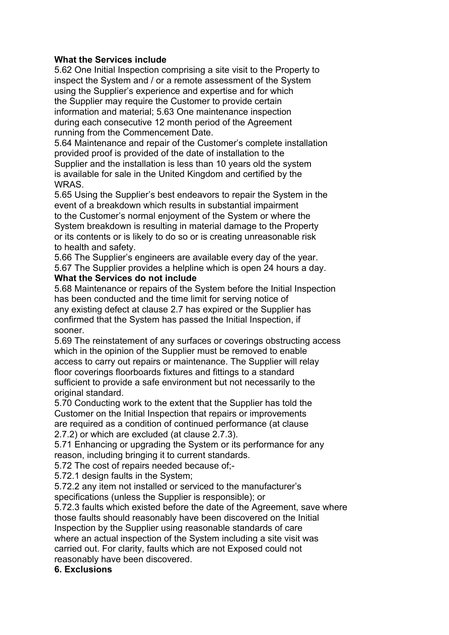### **What the Services include**

5.62 One Initial Inspection comprising a site visit to the Property to inspect the System and / or a remote assessment of the System using the Supplier's experience and expertise and for which the Supplier may require the Customer to provide certain information and material; 5.63 One maintenance inspection during each consecutive 12 month period of the Agreement running from the Commencement Date.

5.64 Maintenance and repair of the Customer's complete installation provided proof is provided of the date of installation to the Supplier and the installation is less than 10 years old the system is available for sale in the United Kingdom and certified by the WRAS.

5.65 Using the Supplier's best endeavors to repair the System in the event of a breakdown which results in substantial impairment to the Customer's normal enjoyment of the System or where the System breakdown is resulting in material damage to the Property or its contents or is likely to do so or is creating unreasonable risk to health and safety.

5.66 The Supplier's engineers are available every day of the year. 5.67 The Supplier provides a helpline which is open 24 hours a day.

#### **What the Services do not include**

5.68 Maintenance or repairs of the System before the Initial Inspection has been conducted and the time limit for serving notice of any existing defect at clause 2.7 has expired or the Supplier has confirmed that the System has passed the Initial Inspection, if sooner.

5.69 The reinstatement of any surfaces or coverings obstructing access which in the opinion of the Supplier must be removed to enable access to carry out repairs or maintenance. The Supplier will relay floor coverings floorboards fixtures and fittings to a standard sufficient to provide a safe environment but not necessarily to the original standard.

5.70 Conducting work to the extent that the Supplier has told the Customer on the Initial Inspection that repairs or improvements are required as a condition of continued performance (at clause 2.7.2) or which are excluded (at clause 2.7.3).

5.71 Enhancing or upgrading the System or its performance for any reason, including bringing it to current standards.

5.72 The cost of repairs needed because of;-

5.72.1 design faults in the System;

5.72.2 any item not installed or serviced to the manufacturer's specifications (unless the Supplier is responsible); or

5.72.3 faults which existed before the date of the Agreement, save where those faults should reasonably have been discovered on the Initial Inspection by the Supplier using reasonable standards of care where an actual inspection of the System including a site visit was carried out. For clarity, faults which are not Exposed could not reasonably have been discovered.

# **6. Exclusions**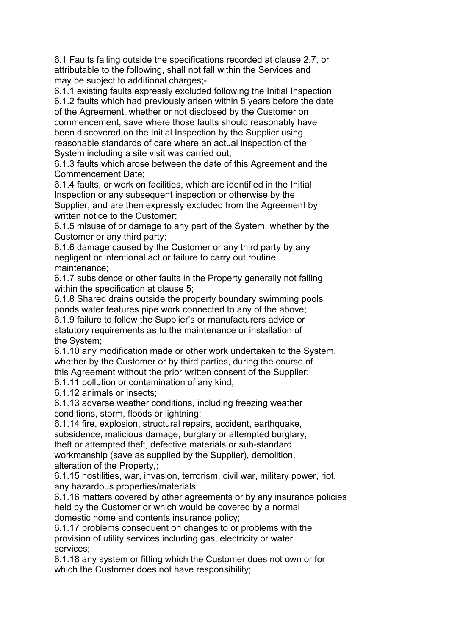6.1 Faults falling outside the specifications recorded at clause 2.7, or attributable to the following, shall not fall within the Services and may be subject to additional charges;-

6.1.1 existing faults expressly excluded following the Initial Inspection; 6.1.2 faults which had previously arisen within 5 years before the date of the Agreement, whether or not disclosed by the Customer on commencement, save where those faults should reasonably have been discovered on the Initial Inspection by the Supplier using reasonable standards of care where an actual inspection of the System including a site visit was carried out;

6.1.3 faults which arose between the date of this Agreement and the Commencement Date;

6.1.4 faults, or work on facilities, which are identified in the Initial Inspection or any subsequent inspection or otherwise by the Supplier, and are then expressly excluded from the Agreement by written notice to the Customer;

6.1.5 misuse of or damage to any part of the System, whether by the Customer or any third party;

6.1.6 damage caused by the Customer or any third party by any negligent or intentional act or failure to carry out routine maintenance;

6.1.7 subsidence or other faults in the Property generally not falling within the specification at clause 5;

6.1.8 Shared drains outside the property boundary swimming pools ponds water features pipe work connected to any of the above;

6.1.9 failure to follow the Supplier's or manufacturers advice or statutory requirements as to the maintenance or installation of the System;

6.1.10 any modification made or other work undertaken to the System, whether by the Customer or by third parties, during the course of this Agreement without the prior written consent of the Supplier;

6.1.11 pollution or contamination of any kind;

6.1.12 animals or insects;

6.1.13 adverse weather conditions, including freezing weather conditions, storm, floods or lightning;

6.1.14 fire, explosion, structural repairs, accident, earthquake, subsidence, malicious damage, burglary or attempted burglary, theft or attempted theft, defective materials or sub-standard workmanship (save as supplied by the Supplier), demolition, alteration of the Property,;

6.1.15 hostilities, war, invasion, terrorism, civil war, military power, riot, any hazardous properties/materials;

6.1.16 matters covered by other agreements or by any insurance policies held by the Customer or which would be covered by a normal domestic home and contents insurance policy;

6.1.17 problems consequent on changes to or problems with the provision of utility services including gas, electricity or water services;

6.1.18 any system or fitting which the Customer does not own or for which the Customer does not have responsibility;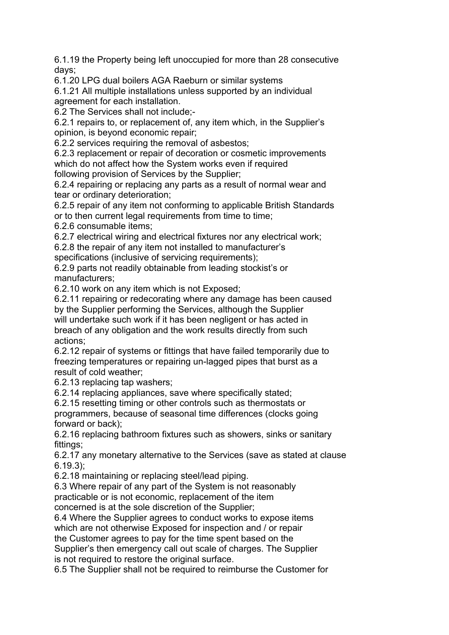6.1.19 the Property being left unoccupied for more than 28 consecutive days;

6.1.20 LPG dual boilers AGA Raeburn or similar systems

6.1.21 All multiple installations unless supported by an individual agreement for each installation.

6.2 The Services shall not include;-

6.2.1 repairs to, or replacement of, any item which, in the Supplier's opinion, is beyond economic repair;

6.2.2 services requiring the removal of asbestos;

6.2.3 replacement or repair of decoration or cosmetic improvements which do not affect how the System works even if required following provision of Services by the Supplier;

6.2.4 repairing or replacing any parts as a result of normal wear and tear or ordinary deterioration;

6.2.5 repair of any item not conforming to applicable British Standards or to then current legal requirements from time to time;

6.2.6 consumable items;

6.2.7 electrical wiring and electrical fixtures nor any electrical work;

6.2.8 the repair of any item not installed to manufacturer's

specifications (inclusive of servicing requirements);

6.2.9 parts not readily obtainable from leading stockist's or manufacturers;

6.2.10 work on any item which is not Exposed;

6.2.11 repairing or redecorating where any damage has been caused by the Supplier performing the Services, although the Supplier will undertake such work if it has been negligent or has acted in breach of any obligation and the work results directly from such actions;

6.2.12 repair of systems or fittings that have failed temporarily due to freezing temperatures or repairing un-lagged pipes that burst as a result of cold weather;

6.2.13 replacing tap washers;

6.2.14 replacing appliances, save where specifically stated;

6.2.15 resetting timing or other controls such as thermostats or programmers, because of seasonal time differences (clocks going forward or back);

6.2.16 replacing bathroom fixtures such as showers, sinks or sanitary fittings;

6.2.17 any monetary alternative to the Services (save as stated at clause 6.19.3);

6.2.18 maintaining or replacing steel/lead piping.

6.3 Where repair of any part of the System is not reasonably practicable or is not economic, replacement of the item concerned is at the sole discretion of the Supplier;

6.4 Where the Supplier agrees to conduct works to expose items which are not otherwise Exposed for inspection and / or repair the Customer agrees to pay for the time spent based on the Supplier's then emergency call out scale of charges. The Supplier

is not required to restore the original surface.

6.5 The Supplier shall not be required to reimburse the Customer for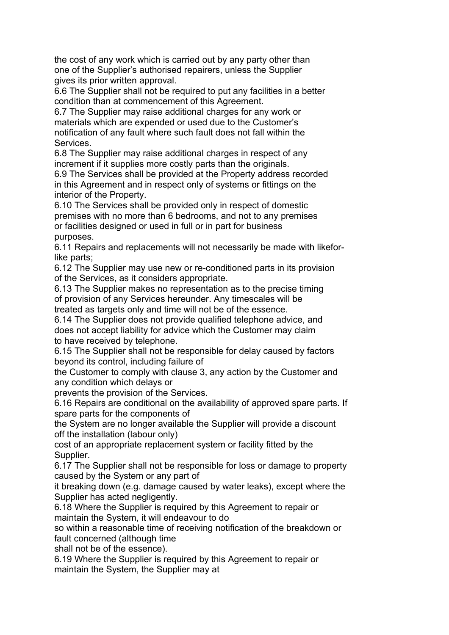the cost of any work which is carried out by any party other than one of the Supplier's authorised repairers, unless the Supplier gives its prior written approval.

6.6 The Supplier shall not be required to put any facilities in a better condition than at commencement of this Agreement.

6.7 The Supplier may raise additional charges for any work or materials which are expended or used due to the Customer's notification of any fault where such fault does not fall within the Services.

6.8 The Supplier may raise additional charges in respect of any increment if it supplies more costly parts than the originals.

6.9 The Services shall be provided at the Property address recorded in this Agreement and in respect only of systems or fittings on the interior of the Property.

6.10 The Services shall be provided only in respect of domestic premises with no more than 6 bedrooms, and not to any premises or facilities designed or used in full or in part for business purposes.

6.11 Repairs and replacements will not necessarily be made with likeforlike parts;

6.12 The Supplier may use new or re-conditioned parts in its provision of the Services, as it considers appropriate.

6.13 The Supplier makes no representation as to the precise timing of provision of any Services hereunder. Any timescales will be treated as targets only and time will not be of the essence.

6.14 The Supplier does not provide qualified telephone advice, and does not accept liability for advice which the Customer may claim to have received by telephone.

6.15 The Supplier shall not be responsible for delay caused by factors beyond its control, including failure of

the Customer to comply with clause 3, any action by the Customer and any condition which delays or

prevents the provision of the Services.

6.16 Repairs are conditional on the availability of approved spare parts. If spare parts for the components of

the System are no longer available the Supplier will provide a discount off the installation (labour only)

cost of an appropriate replacement system or facility fitted by the Supplier.

6.17 The Supplier shall not be responsible for loss or damage to property caused by the System or any part of

it breaking down (e.g. damage caused by water leaks), except where the Supplier has acted negligently.

6.18 Where the Supplier is required by this Agreement to repair or maintain the System, it will endeavour to do

so within a reasonable time of receiving notification of the breakdown or fault concerned (although time

shall not be of the essence).

6.19 Where the Supplier is required by this Agreement to repair or maintain the System, the Supplier may at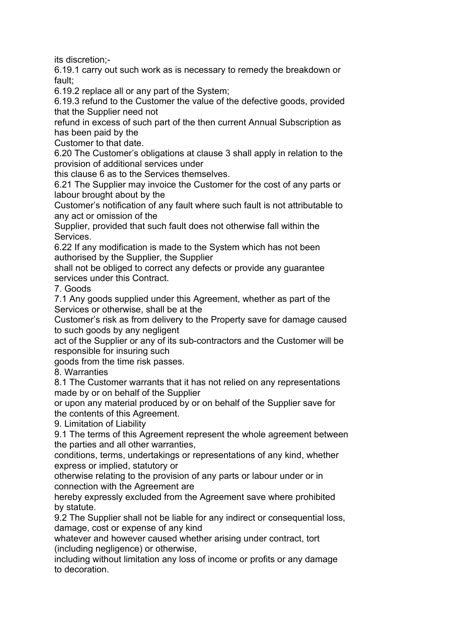its discretion;-

6.19.1 carry out such work as is necessary to remedy the breakdown or fault;

6.19.2 replace all or any part of the System;

6.19.3 refund to the Customer the value of the defective goods, provided that the Supplier need not

refund in excess of such part of the then current Annual Subscription as has been paid by the

Customer to that date.

6.20 The Customer's obligations at clause 3 shall apply in relation to the provision of additional services under

this clause 6 as to the Services themselves.

6.21 The Supplier may invoice the Customer for the cost of any parts or labour brought about by the

Customer's notification of any fault where such fault is not attributable to any act or omission of the

Supplier, provided that such fault does not otherwise fall within the Services.

6.22 If any modification is made to the System which has not been authorised by the Supplier, the Supplier

shall not be obliged to correct any defects or provide any guarantee services under this Contract.

7. Goods

7.1 Any goods supplied under this Agreement, whether as part of the Services or otherwise, shall be at the

Customer's risk as from delivery to the Property save for damage caused to such goods by any negligent

act of the Supplier or any of its sub-contractors and the Customer will be responsible for insuring such

goods from the time risk passes.

8. Warranties

8.1 The Customer warrants that it has not relied on any representations made by or on behalf of the Supplier

or upon any material produced by or on behalf of the Supplier save for the contents of this Agreement.

9. Limitation of Liability

9.1 The terms of this Agreement represent the whole agreement between the parties and all other warranties,

conditions, terms, undertakings or representations of any kind, whether express or implied, statutory or

otherwise relating to the provision of any parts or labour under or in connection with the Agreement are

hereby expressly excluded from the Agreement save where prohibited by statute.

9.2 The Supplier shall not be liable for any indirect or consequential loss, damage, cost or expense of any kind

whatever and however caused whether arising under contract, tort (including negligence) or otherwise,

including without limitation any loss of income or profits or any damage to decoration.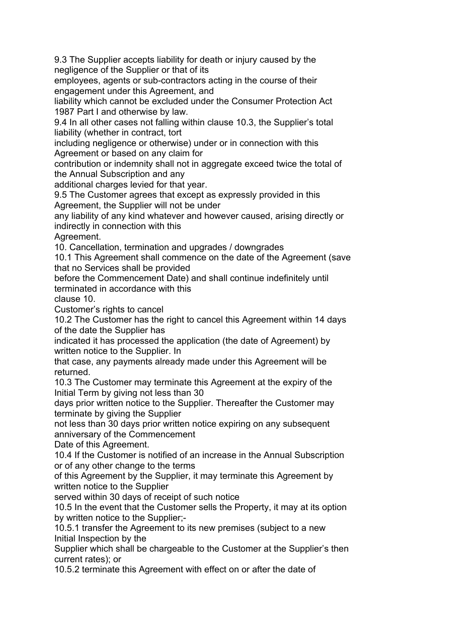9.3 The Supplier accepts liability for death or injury caused by the negligence of the Supplier or that of its

employees, agents or sub-contractors acting in the course of their engagement under this Agreement, and

liability which cannot be excluded under the Consumer Protection Act 1987 Part I and otherwise by law.

9.4 In all other cases not falling within clause 10.3, the Supplier's total liability (whether in contract, tort

including negligence or otherwise) under or in connection with this Agreement or based on any claim for

contribution or indemnity shall not in aggregate exceed twice the total of the Annual Subscription and any

additional charges levied for that year.

9.5 The Customer agrees that except as expressly provided in this Agreement, the Supplier will not be under

any liability of any kind whatever and however caused, arising directly or indirectly in connection with this

Agreement.

10. Cancellation, termination and upgrades / downgrades

10.1 This Agreement shall commence on the date of the Agreement (save that no Services shall be provided

before the Commencement Date) and shall continue indefinitely until terminated in accordance with this

clause 10.

Customer's rights to cancel

10.2 The Customer has the right to cancel this Agreement within 14 days of the date the Supplier has

indicated it has processed the application (the date of Agreement) by written notice to the Supplier. In

that case, any payments already made under this Agreement will be returned.

10.3 The Customer may terminate this Agreement at the expiry of the Initial Term by giving not less than 30

days prior written notice to the Supplier. Thereafter the Customer may terminate by giving the Supplier

not less than 30 days prior written notice expiring on any subsequent anniversary of the Commencement

Date of this Agreement.

10.4 If the Customer is notified of an increase in the Annual Subscription or of any other change to the terms

of this Agreement by the Supplier, it may terminate this Agreement by written notice to the Supplier

served within 30 days of receipt of such notice

10.5 In the event that the Customer sells the Property, it may at its option by written notice to the Supplier;-

10.5.1 transfer the Agreement to its new premises (subject to a new Initial Inspection by the

Supplier which shall be chargeable to the Customer at the Supplier's then current rates); or

10.5.2 terminate this Agreement with effect on or after the date of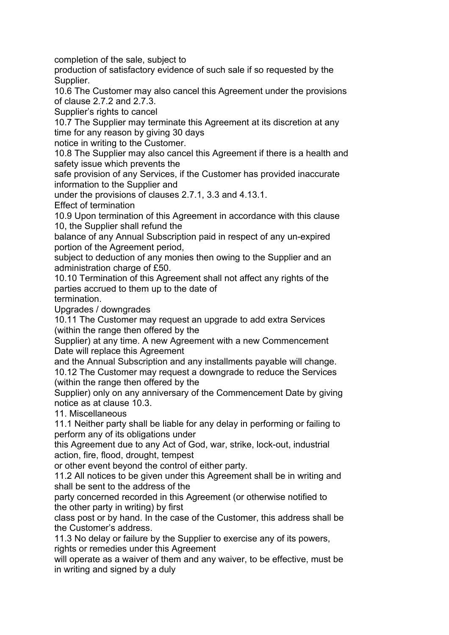completion of the sale, subject to

production of satisfactory evidence of such sale if so requested by the Supplier.

10.6 The Customer may also cancel this Agreement under the provisions of clause 2.7.2 and 2.7.3.

Supplier's rights to cancel

10.7 The Supplier may terminate this Agreement at its discretion at any time for any reason by giving 30 days

notice in writing to the Customer.

10.8 The Supplier may also cancel this Agreement if there is a health and safety issue which prevents the

safe provision of any Services, if the Customer has provided inaccurate information to the Supplier and

under the provisions of clauses 2.7.1, 3.3 and 4.13.1.

Effect of termination

10.9 Upon termination of this Agreement in accordance with this clause 10, the Supplier shall refund the

balance of any Annual Subscription paid in respect of any un-expired portion of the Agreement period,

subject to deduction of any monies then owing to the Supplier and an administration charge of £50.

10.10 Termination of this Agreement shall not affect any rights of the parties accrued to them up to the date of

termination.

Upgrades / downgrades

10.11 The Customer may request an upgrade to add extra Services (within the range then offered by the

Supplier) at any time. A new Agreement with a new Commencement Date will replace this Agreement

and the Annual Subscription and any installments payable will change.

10.12 The Customer may request a downgrade to reduce the Services (within the range then offered by the

Supplier) only on any anniversary of the Commencement Date by giving notice as at clause 10.3.

11. Miscellaneous

11.1 Neither party shall be liable for any delay in performing or failing to perform any of its obligations under

this Agreement due to any Act of God, war, strike, lock-out, industrial action, fire, flood, drought, tempest

or other event beyond the control of either party.

11.2 All notices to be given under this Agreement shall be in writing and shall be sent to the address of the

party concerned recorded in this Agreement (or otherwise notified to the other party in writing) by first

class post or by hand. In the case of the Customer, this address shall be the Customer's address.

11.3 No delay or failure by the Supplier to exercise any of its powers, rights or remedies under this Agreement

will operate as a waiver of them and any waiver, to be effective, must be in writing and signed by a duly